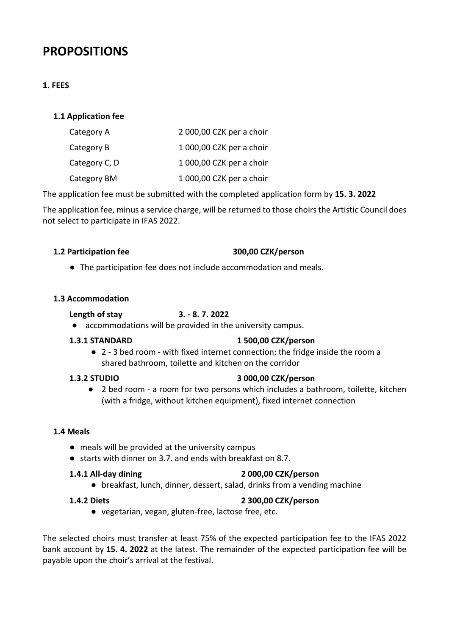# **PROPOSITIONS**

# **1. FEES**

# **1.1 Application fee**

| Category A    | 2 000,00 CZK per a choir |
|---------------|--------------------------|
| Category B    | 1 000,00 CZK per a choir |
| Category C, D | 1 000,00 CZK per a choir |
| Category BM   | 1 000,00 CZK per a choir |

The application fee must be submitted with the completed application form by **15. 3. 2022**

The application fee, minus a service charge, will be returned to those choirs the Artistic Council does not select to participate in IFAS 2022.

# **1.2 Participation fee 300,00 CZK/person**

● The participation fee does not include accommodation and meals.

# **1.3 Accommodation**

# **Length of stay 3. - 8. 7. 2022**

● accommodations will be provided in the university campus.

# **1.3.1 STANDARD 1 500,00 CZK/person**

● 2 - 3 bed room - with fixed internet connection; the fridge inside the room a shared bathroom, toilette and kitchen on the corridor

# **1.3.2 STUDIO 3 000,00 CZK/person**

● 2 bed room - a room for two persons which includes a bathroom, toilette, kitchen (with a fridge, without kitchen equipment), fixed internet connection

# **1.4 Meals**

- meals will be provided at the university campus
- starts with dinner on 3.7. and ends with breakfast on 8.7.

# **1.4.1 All-day dining 2 000,00 CZK/person**

● breakfast, lunch, dinner, dessert, salad, drinks from a vending machine

# **1.4.2 Diets 2 300,00 CZK/person**

● vegetarian, vegan, gluten-free, lactose free, etc.

The selected choirs must transfer at least 75% of the expected participation fee to the IFAS 2022 bank account by **15. 4. 2022** at the latest. The remainder of the expected participation fee will be payable upon the choir's arrival at the festival.